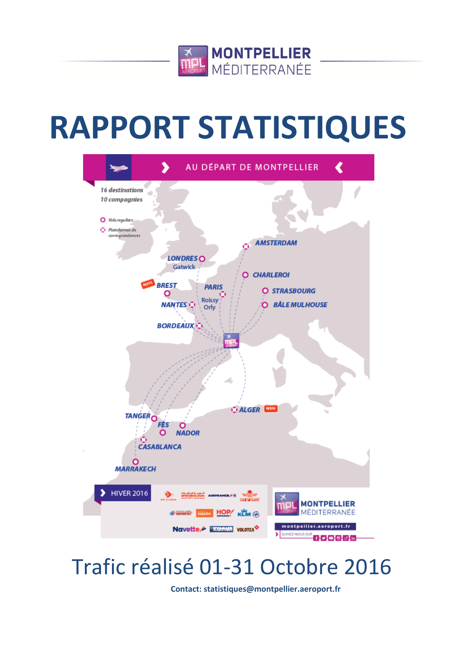

# **RAPPORT STATISTIQUES**



## Trafic réalisé 01-31 Octobre 2016

**Contact: statistiques@montpellier.aeroport.fr**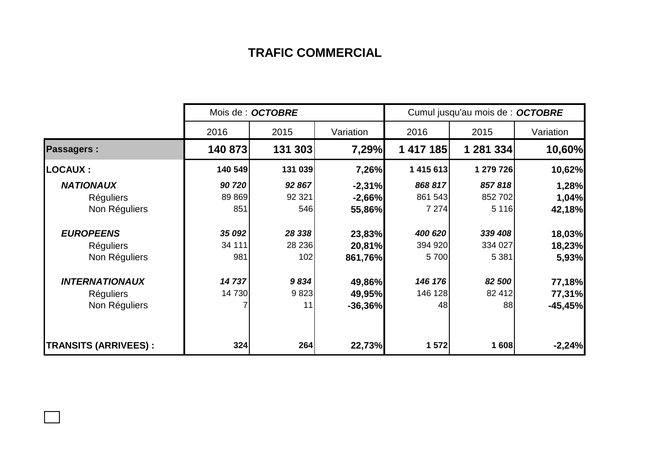## **TRAFIC COMMERCIAL**

|                             | Mois de : OCTOBRE |         |           | Cumul jusqu'au mois de : OCTOBRE |           |           |  |
|-----------------------------|-------------------|---------|-----------|----------------------------------|-----------|-----------|--|
|                             | 2016              | 2015    | Variation | 2016                             | 2015      | Variation |  |
| <b>Passagers:</b>           | 140 873           | 131 303 | 7,29%     | 1 417 185                        | 1 281 334 | 10,60%    |  |
| <b>LOCAUX:</b>              | 140 549           | 131 039 | 7,26%     | 1 415 613                        | 1 279 726 | 10,62%    |  |
| <b>NATIONAUX</b>            | 90720             | 92 867  | $-2,31%$  | 868 817                          | 857818    | 1,28%     |  |
| <b>Réguliers</b>            | 89 869            | 92 321  | $-2,66%$  | 861 543                          | 852 702   | 1,04%     |  |
| Non Réguliers               | 851               | 546     | 55,86%    | 7 2 7 4                          | 5 1 1 6   | 42,18%    |  |
| <b>EUROPEENS</b>            | 35 092            | 28 338  | 23,83%    | 400 620                          | 339 408   | 18,03%    |  |
| <b>Réguliers</b>            | 34 111            | 28 236  | 20,81%    | 394 920                          | 334 027   | 18,23%    |  |
| Non Réguliers               | 981               | 102     | 861,76%   | 5700                             | 5 3 8 1   | 5,93%     |  |
| <b>INTERNATIONAUX</b>       | 14737             | 9834    | 49,86%    | 146 176                          | 82 500    | 77,18%    |  |
| <b>Réguliers</b>            | 14 730            | 9823    | 49,95%    | 146 128                          | 82 412    | 77,31%    |  |
| Non Réguliers               |                   | 11      | $-36,36%$ | 48                               | 88        | $-45,45%$ |  |
| <b>TRANSITS (ARRIVEES):</b> | 324               | 264     | 22,73%    | 1 572                            | 1608      | $-2,24%$  |  |

 $\Box$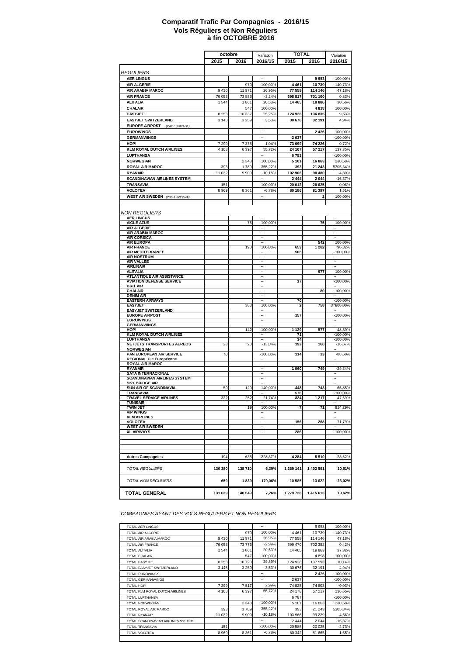#### **à fin OCTOBRE 2016 Comparatif Trafic Par Compagnies - 2016/15 Vols Réguliers et Non Réguliers**

|                                                    | octobre        |                  | Variation                             | <b>TOTAL</b>      |                    | Variation                           |
|----------------------------------------------------|----------------|------------------|---------------------------------------|-------------------|--------------------|-------------------------------------|
|                                                    | 2015           | 2016             | 2016/15                               | 2015              | 2016               | 2016/15                             |
|                                                    |                |                  |                                       |                   |                    |                                     |
| <b>REGULIERS</b>                                   |                |                  |                                       |                   |                    |                                     |
| <b>AER LINGUS</b>                                  |                |                  |                                       |                   | 9953               | 100,00%                             |
| <b>AIR ALGERIE</b>                                 |                | 970              | 100,00%                               | 4461              | 10739              | 140,73%                             |
| AIR ARABIA MAROC<br><b>AIR FRANCE</b>              | 9430<br>76 053 | 11 971<br>73 586 | 26,95%                                | 77 558<br>698 817 | 114 146<br>701 100 | 47,18%<br>0,33%                     |
| <b>ALITALIA</b>                                    | 1544           | 1861             | $-3,24%$<br>20,53%                    | 14 4 65           | 18886              | 30,56%                              |
| CHALAIR                                            |                | 547              | 100,00%                               |                   | 4818               | 100,00%                             |
| <b>EASYJET</b>                                     | 8 2 5 3        | 10 337           | 25,25%                                | 124 926           | 136 835            | 9,53%                               |
| <b>EASYJET SWITZERLAND</b>                         | 3 1 4 8        | 3 2 5 9          | 3,53%                                 | 30 676            | 32 191             | 4,94%                               |
| <b>EUROPE AIRPOST</b><br>(PAX EQUIPAGE)            |                |                  |                                       |                   |                    |                                     |
| <b>EUROWINGS</b>                                   |                |                  | $\overline{\phantom{a}}$              |                   | 2 4 2 6            | 100,00%                             |
| <b>GERMANWINGS</b>                                 |                |                  |                                       | 2637              |                    | $-100,00%$                          |
| HOP!                                               | 7 2 9 9        | 7375             | 1,04%                                 | 73 699            | 74 226             | 0,72%                               |
| <b>KLM ROYAL DUTCH AIRLINES</b>                    | 4 1 0 8        | 6397             | 55,72%                                | 24 107            | 57 217             | 137,35%                             |
| <b>LUFTHANSA</b>                                   |                |                  | $\ddot{\phantom{a}}$                  | 6753              |                    | $-100,00%$                          |
| <b>NORWEGIAN</b>                                   |                | 2 3 4 8          | 100,00%                               | 5 1 0 1           | 16863              | 230,58%                             |
| <b>ROYAL AIR MAROC</b><br><b>RYANAIR</b>           | 393<br>11 032  | 1789<br>9909     | 355,22%<br>$-10,18%$                  | 393<br>102 906    | 21 243<br>98 480   | 5305,34%<br>$-4,30%$                |
| <b>SCANDINAVIAN AIRLINES SYSTEM</b>                |                |                  | $\ddot{\phantom{a}}$                  | 2444              | 2 0 4 4            | $-16,37%$                           |
| <b>TRANSAVIA</b>                                   | 151            |                  | $-100,00%$                            | 20 012            | 20 025             | 0,06%                               |
| <b>VOLOTEA</b>                                     | 8969           | 8 3 6 1          | $-6,78%$                              | 80 186            | 81 397             | 1,51%                               |
| <b>WEST AIR SWEDEN</b> (PAX EQUIPAGE)              |                |                  | $\overline{\phantom{a}}$              |                   | 2                  | 100,00%                             |
|                                                    |                |                  |                                       |                   |                    |                                     |
|                                                    |                |                  |                                       |                   |                    |                                     |
| <b>NON REGULIERS</b>                               |                |                  |                                       |                   |                    |                                     |
| <b>AER LINGUS</b><br><b>AIGLE AZUR</b>             |                | 75               | 100,00%                               |                   | 75                 | $\overline{\phantom{a}}$<br>100,00% |
| <b>AIR ALGERIE</b>                                 |                |                  |                                       |                   |                    |                                     |
| <b>AIR ARABIA MAROC</b>                            |                |                  | $\ddot{\phantom{a}}$                  |                   |                    | $\ddotsc$                           |
| <b>AIR CORSICA</b><br><b>AIR EUROPA</b>            |                |                  |                                       |                   | 542                | 100,00%                             |
| <b>AIR FRANCE</b>                                  |                | 190              | 100,00%                               | 653               | 1 2 8 2            | 96,32%                              |
| AIR MEDITERRANEE                                   |                |                  |                                       | 505               |                    | $-100,00%$                          |
| <b>AIR NOSTRUM</b><br>AIR VALLEE                   |                |                  |                                       |                   |                    |                                     |
| <b>AIRLINAIR</b>                                   |                |                  | --                                    |                   |                    | $\overline{\phantom{a}}$            |
| <b>ALITALIA</b>                                    |                |                  | $\overline{\phantom{a}}$              |                   | 977                | 100,00%                             |
| <b>ATLANTIQUE AIR ASSISTANCE</b>                   |                |                  | <br>$\overline{\phantom{a}}$          |                   |                    | $\sim$                              |
| <b>AVIATION DEFENSE SERVICE</b><br><b>BRIT AIR</b> |                |                  |                                       | 17                |                    | $-100,00%$                          |
| <b>CHALAIR</b>                                     |                |                  | $\overline{\phantom{a}}$              |                   | 80                 | 100,00%                             |
| <b>DENIM AIR</b>                                   |                |                  | $\overline{a}$                        | 70                |                    |                                     |
| <b>EASTERN AIRWAYS</b><br><b>EASYJET</b>           |                | 383              | 100,00%                               | 2                 | 758                | $-100,00%$<br>37800,00%             |
| <b>EASYJET SWITZERLAND</b>                         |                |                  |                                       |                   |                    |                                     |
| <b>EUROPE AIRPOST</b>                              |                |                  |                                       | 157               |                    | $-100,00%$                          |
| <b>EUROWINGS</b><br><b>GERMANWINGS</b>             |                |                  |                                       |                   |                    |                                     |
| HOP!                                               |                | 142              | 100,00%                               | 1 1 2 9           | 577                | -48,89%                             |
| <b>KLM ROYAL DUTCH AIRLINES</b>                    |                |                  | --                                    | 71                |                    | $-100,00%$                          |
| <b>LUFTHANSA</b><br>NETJETS TRANSPORTES AEREOS     | 23             | 20               | $\overline{\phantom{a}}$<br>$-13,04%$ | 34<br>192         | 160                | $-100,00%$<br>$-16,67%$             |
| <b>NORWEGIAN</b>                                   |                |                  |                                       |                   |                    |                                     |
| PAN EUROPEAN AIR SERVICE                           | 70             |                  | $-100,00%$                            | 114               | 13                 | $-88,60%$                           |
| <b>REGIONAL Cie Européenne</b>                     |                |                  | Ξ.                                    |                   |                    |                                     |
| <b>ROYAL AIR MAROC</b><br><b>RYANAIR</b>           |                |                  |                                       | 1060              | 749                | $-29,34%$                           |
| <b>SATA INTERNACIONAL</b>                          |                |                  |                                       |                   |                    |                                     |
| <b>SCANDINAVIAN AIRLINES SYSTEM</b>                |                |                  |                                       |                   |                    |                                     |
| SKY BRIDGE AIR<br>SUN AIR OF SCANDINAVIA           | 50             | 120              | 140,00%                               | 448               | 743                | 65,85%                              |
| TRANSAVIA                                          |                |                  | $\overline{\phantom{a}}$              | 576               |                    | $-100,00%$                          |
| TRAVEL SERVICE AIRLINES                            | 322            | 252              | $-21,74%$                             | 824               | 217<br>1           | 47,69%                              |
| <b>TUNISAIR</b><br><b>TWIN JET</b>                 |                | 19               | 100,00%                               | 7                 | 71                 | 914,29%                             |
| <b>VIP WINGS</b>                                   |                |                  |                                       |                   |                    |                                     |
| <b>VLM AIRLINES</b>                                |                |                  |                                       |                   |                    |                                     |
| <b>VOLOTEA</b><br><b>WEST AIR SWEDEN</b>           |                |                  | $\overline{\phantom{a}}$              | 156               | 268                | 71,79%                              |
| <b>XL AIRWAYS</b>                                  |                |                  |                                       | 286               |                    | $-100,00%$                          |
|                                                    |                |                  |                                       |                   |                    |                                     |
|                                                    |                |                  |                                       |                   |                    |                                     |
|                                                    |                |                  |                                       |                   |                    |                                     |
| <b>Autres Compagnies</b>                           | 194            | 638              | 228,87%                               | 4 2 8 4           | 5510               | 28,62%                              |
|                                                    |                |                  |                                       |                   |                    |                                     |
| <b>TOTAL REGULIERS</b>                             | 130 380        | 138710           | 6,39%                                 | 1 269 141         | 1 402 591          | 10,51%                              |
|                                                    |                |                  |                                       |                   |                    |                                     |
| <b>TOTAL NON REGULIERS</b>                         | 659            | 1839             | 179,06%                               | 10585             | 13 022             | 23,02%                              |
|                                                    |                |                  |                                       |                   |                    |                                     |
| <b>TOTAL GENERAL</b>                               | 131 039        | 140 549          | 7,26%                                 | 1 279 726         | 1415613            | 10,62%                              |

*COMPAGNIES AYANT DES VOLS REGULIERS ET NON REGULIERS*

| TOTAL AER LINGUS                   |         |         | --          |         | 9953    | 100,00%    |
|------------------------------------|---------|---------|-------------|---------|---------|------------|
| TOTAL AIR ALGERIE                  |         | 970     | 100,00%     | 4461    | 10739   | 140,73%    |
| TOTAL AIR ARABIA MAROC             | 9430    | 11 971  | 26,95%      | 77 558  | 114 146 | 47,18%     |
| TOTAL AIR FRANCE                   | 76 053  | 73776   | $-2,99%$    | 699 470 | 702 382 | 0,42%      |
| TOTAL ALITALIA                     | 1544    | 1861    | 20,53%      | 14 4 65 | 19863   | 37,32%     |
| <b>TOTAL CHALAIR</b>               |         | 547     | 100,00%     |         | 4898    | 100,00%    |
| TOTAL EASYJET                      | 8 2 5 3 | 10720   | 29,89%      | 124 928 | 137 593 | 10,14%     |
| TOTAL EASYJET SWITZERLAND          | 3 1 4 8 | 3 2 5 9 | 3,53%       | 30 676  | 32 191  | 4,94%      |
| <b>TOTAL EUROWINGS</b>             |         |         | --          |         | 2 4 2 6 | 100,00%    |
| TOTAL GERMANWINGS                  |         |         | --          | 2637    |         | $-100,00%$ |
| TOTAL HOP!                         | 7 2 9 9 | 7517    | 2,99%       | 74 828  | 74 803  | $-0,03%$   |
| TOTAL KLM ROYAL DUTCH AIRLINES     | 4 1 0 8 | 6397    | 55,72%      | 24 178  | 57 217  | 136,65%    |
| TOTAL LUFTHANSA                    |         |         | --          | 6787    |         | $-100,00%$ |
| <b>TOTAL NORWEGIAN</b>             |         | 2 3 4 8 | 100,00%     | 5 1 0 1 | 16863   | 230,58%    |
| TOTAL ROYAL AIR MAROC              | 393     | 1789    | 355,22%     | 393     | 21 243  | 5305,34%   |
| <b>TOTAL RYANAIR</b>               | 11 0 32 | 9909    | $-10,18%$   | 103 966 | 99 229  | $-4,56%$   |
| TOTAL SCANDINAVIAN AIRLINES SYSTEM |         |         | --          | 2444    | 2044    | $-16,37%$  |
| TOTAL TRANSAVIA                    | 151     |         | $-100.00\%$ | 20588   | 20 0 25 | $-2,73%$   |
| TOTAL VOLOTEA                      | 8969    | 8 3 6 1 | $-6,78%$    | 80 342  | 81 665  | 1,65%      |
|                                    |         |         |             |         |         |            |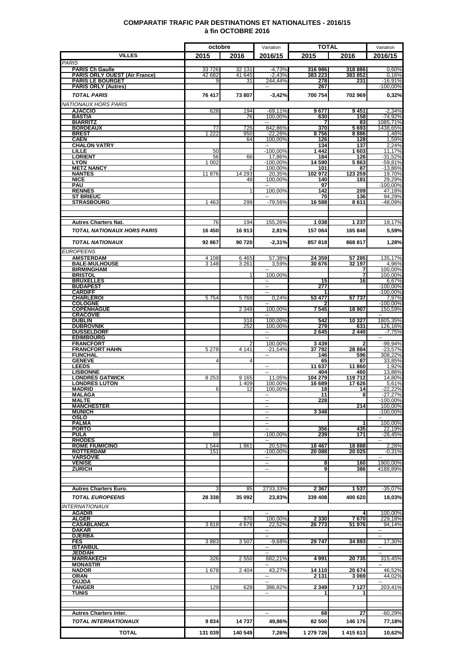### **COMPARATIF TRAFIC PAR DESTINATIONS ET NATIONALITES - 2016/15 à fin OCTOBRE 2016**

|                                                         | octobre         |                  | Variation                               | <b>TOTAL</b>       |                  | Variation                 |
|---------------------------------------------------------|-----------------|------------------|-----------------------------------------|--------------------|------------------|---------------------------|
| <b>VILLES</b>                                           | 2015            | 2016             | 2016/15                                 | 2015               | 2016             | 2016/15                   |
| <b>PARIS</b>                                            |                 |                  |                                         |                    |                  |                           |
| <b>PARIS Ch Gaulle</b><br>PARIS ORLY OUEST (Air France) | 33726<br>42 682 | 32 131<br>41 645 | $-4,73%$<br>$-2,43%$                    | 316 986<br>383 223 | 318886<br>383852 | 0,60%<br>0,16%            |
| <b>PARIS LE BOURGET</b>                                 | 9               | 31               | 244.44%                                 | 278                | 231              | $-16,91%$                 |
| <b>PARIS ORLY (Autres)</b>                              |                 |                  |                                         | 267                |                  | $-100,00%$                |
| <b>TOTAL PARIS</b>                                      | 76 417          | 73 807           | $-3.42%$                                | 700 754            | 702 969          | 0.32%                     |
| <b>NATIONAUX HORS PARIS</b><br><b>AJACCIO</b>           | 628             | 194              | -69,11%                                 | 9677               | 9451             | $-2,34%$                  |
| <b>BASTIA</b>                                           |                 | 76               | 100.00%                                 | 630                | 158              | $-74,92%$                 |
| <b>BIARRITZ</b>                                         |                 |                  |                                         |                    | 83               | 1085,71%                  |
| <b>BORDEAUX</b><br><b>BREST</b>                         | 77<br>1 2 2 2   | 726<br>950       | 842,86%<br>$-22,26%$                    | 370<br>8756        | 5693<br>8886     | 1438,65%<br>1,48%         |
| <b>CAEN</b>                                             |                 | 64               | 100,00%                                 | 126                | 128              | 1,59%                     |
| <b>CHALON VATRY</b><br>LILLE                            | 50              |                  | $\ddotsc$<br>$-100,00%$                 | 134<br>1442        | 137<br>1603      | 2,24%<br>11,17%           |
| <b>LORIENT</b>                                          | 56              | 66               | 17,86%                                  | 184                | 126              | $-31,52%$                 |
| <b>LYON</b><br><b>METZ NANCY</b>                        | 1 0 0 2         | $\overline{2}$   | $-100,00%$<br>100,00%                   | 14 590<br>101      | 5863<br>87       | $-59,81%$<br>$-13,86%$    |
| <b>NANTES</b>                                           | 11876           | 14 293           | 20,35%                                  | 102 972            | 123 259          | 19,70%                    |
| <b>NICE</b><br>PAU                                      |                 | 48               | 100.00%                                 | 140<br>97          | 181              | 29.29%<br>$-100,00%$      |
| <b>RENNES</b>                                           |                 | 1                | 100.00%                                 | 142                | 209              | 47,18%                    |
| <b>ST BRIEUC</b>                                        |                 |                  |                                         | 70                 | 136              | 94,29%                    |
| <b>STRASBOURG</b>                                       | 1 4 6 3         | 299              | $-79,56%$                               | 16 588             | 8611             | -48,09%                   |
|                                                         |                 |                  |                                         |                    |                  |                           |
| <b>Autres Charters Nat.</b>                             | 76              | 194              | 155,26%                                 | 1 0 38             | 1 2 3 7          | 19,17%                    |
| <b>TOTAL NATIONAUX HORS PARIS</b>                       | 16 450          | 16913            | 2,81%                                   | 157 064            | 165 848          | 5,59%                     |
|                                                         |                 |                  |                                         |                    |                  |                           |
| <b>TOTAL NATIONAUX</b>                                  | 92 867          | 90720            | $-2,31%$                                | 857818             | 868 817          | 1,28%                     |
| <b>EUROPEENS</b><br><b>AMSTERDAM</b>                    | 4 108           |                  | 57.38%                                  |                    | 57 285           |                           |
| <b>BALE-MULHOUSE</b>                                    | 3 1 4 8         | 6465<br>3 2 6 1  | 3,59%                                   | 24 359<br>30 676   | 32 197           | 135,17%<br>4.96%          |
| <b>BIRMINGHAM</b>                                       |                 |                  |                                         |                    | 7                | 100,00%                   |
| <b>BRISTOL</b><br><b>BRUXELLES</b>                      |                 | 1                | 100,00%<br>$\overline{a}$               | 15                 | 7<br>16          | 100,00%<br>6,67%          |
| <b>BUDAPEST</b>                                         |                 |                  | $\overline{\phantom{a}}$                | 277                |                  | $-100,00%$                |
| <b>CARDIFF</b>                                          |                 |                  | $\sim$                                  |                    | 57 737           | $-100,00\%$               |
| <b>CHARLEROI</b><br><b>COLOGNE</b>                      | 5754            | 5768             | 0,24%                                   | 53 477             |                  | 7,97%<br>$-100,00%$       |
| <b>COPENHAGUE</b>                                       |                 | 2 3 4 8          | 100,00%                                 | 7545               | 18 907           | 150,59%                   |
| <b>CRACOVIE</b><br><b>DUBLIN</b>                        |                 | 318              | $\overline{\phantom{a}}$<br>100,00%     | 542                | 10 327           | $\sim$<br>1805,35%        |
| <b>DUBROVNIK</b>                                        |                 | 252              | 100.00%                                 | 279                | 631              | 126,16%                   |
| <b>DUSSELDORF</b><br><b>EDIMBOURG</b>                   |                 |                  | $\sim$<br>                              | 2645               | 2440             | $-7,75%$<br>$\sim$        |
| <b>FRANCFORT</b>                                        |                 |                  | 100,00%                                 | 3 4 3 9            | 2                | -99,94%                   |
| <b>FRANCFORT HAHN</b>                                   | 5 2 7 8         | 4 1 4 1          | $-21,54%$                               | 37792              | 28 8 84          | $-23,57%$                 |
| <b>FUNCHAL</b><br><b>GENEVE</b>                         | 4               | 4                | $\overline{a}$                          | 146<br>65          | 596<br>87        | 308,22%<br>33,85%         |
| <b>LEEDS</b>                                            |                 |                  | $\sim$                                  | 11 637             | 11 860           | 1,92%                     |
| <b>LISBONNE</b><br><b>LONDRES GATWICK</b>               | 8 2 5 3         | 9 1 6 5          | 11,05%                                  | 404<br>104 279     | 460<br>119712    | 13,86%<br>14,80%          |
| <b>LONDRES LUTON</b>                                    |                 | 1 4 0 9          | 100,00%                                 | 16 689             | 17626            | 5,61%                     |
| MADRID                                                  | 6               | 12               | 100,00%                                 | 18                 | 14               | $-22,22%$                 |
| <b>MALAGA</b><br><b>MALTE</b>                           |                 |                  |                                         | 11<br>228          | 8                | $-27,27%$<br>-100,00%     |
| <b>MANCHESTER</b>                                       |                 |                  |                                         |                    | 214              | 100,00%                   |
| <b>MUNICH</b><br>OSLO                                   |                 |                  | −−<br>$\overline{\phantom{a}}$          | 3 3 4 8            |                  | $-100,00\%$<br>$\sim$     |
| <b>PALMA</b>                                            |                 |                  | $\overline{\phantom{a}}$                |                    |                  | 100,00%                   |
| <b>PORTO</b><br><b>PULA</b>                             | 89              |                  | $\overline{\phantom{a}}$<br>$-100.00\%$ | 356<br>239         | 435<br>171       | 22,19%<br>$-28,45%$       |
| <b>RHODES</b>                                           |                 |                  | $\overline{\phantom{a}}$                |                    |                  | $\sim$                    |
| <b>ROME FIUMICINO</b>                                   | 1 544           | 1861             | 20,53%                                  | 18 467             | 18888            | 2,28%                     |
| <b>ROTTERDAM</b><br><b>VARSOVIE</b>                     | 151             |                  | $-100,00%$<br>$\overline{\phantom{a}}$  | 20 088             | 20 025           | $-0,31%$<br>$\sim$ $\sim$ |
| <b>VENISE</b>                                           |                 |                  |                                         | 8                  | 160              | 1900,00%                  |
| <b>ZURICH</b>                                           |                 |                  | H                                       | 9                  | 386              | 4188,89%                  |
|                                                         |                 |                  |                                         |                    |                  |                           |
| <b>Autres Charters Euro.</b>                            | 3               | 85               | 2733,33%                                | 2 3 6 7            | 1537             | $-35,07%$                 |
| <b>TOTAL EUROPEENS</b>                                  | 28 338          | 35 092           | 23,83%                                  | 339 408            | 400 620          | 18,03%                    |
| <b>INTERNATIONAUX</b>                                   |                 |                  |                                         |                    |                  |                           |
| <b>AGADIR</b>                                           |                 |                  | ⊶.                                      |                    | $\frac{4}{ }$    | 100,00%                   |
| <b>ALGER</b>                                            |                 | 970              | 100,00%                                 | 2 3 3 0            | 7670             | 229,18%                   |
| <b>CASABLANCA</b><br><b>DAKAR</b>                       | 3818            | 4678             | 22.52%<br>$\overline{a}$                | 26 773             | 51 976           | 94,14%<br>$\sim$          |
| <b>DJERBA</b>                                           |                 |                  | --                                      |                    |                  | $\sim$                    |
| FES<br><b>ISTANBUL</b>                                  | 3883            | 3507             | $-9,68%$<br>٠.                          | 29 747             | 34 893           | 17,30%<br>н.              |
| <b>JEDDAH</b>                                           |                 |                  | --                                      |                    |                  | $\sim$                    |
| MARRAKECH                                               | 326             | 2 5 5 0          | 682,21%                                 | 4991               | 20735            | 315,45%<br>$\sim$ $\sim$  |
| <b>MONASTIR</b><br><b>NADOR</b>                         | 1678            | 2 4 0 4          | ۰.<br>43,27%                            | 14 110             | 20 674           | 46,52%                    |
| ORAN                                                    |                 |                  | н.                                      | 2 131              | 3 069            | 44,02%                    |
| <b>OUJDA</b><br><b>TANGER</b>                           | 129             | 628              | 386,82%                                 | 2 3 4 9            | 7 127            | 203,41%                   |
| TUNIS                                                   |                 |                  |                                         |                    | 1                |                           |
|                                                         |                 |                  |                                         |                    |                  |                           |
|                                                         |                 |                  |                                         |                    |                  |                           |
| <b>Autres Charters Inter.</b>                           |                 |                  | --                                      | 68                 | 27               | $-60,29\%$                |
| <b>TOTAL INTERNATIONAUX</b>                             | 9834            | 14 737           | 49,86%                                  | 82 500             | 146 176          | 77,18%                    |
| TOTAL                                                   | 131 039         | 140 549          | 7,26%                                   | 1 279 726          | 1415613          | 10,62%                    |